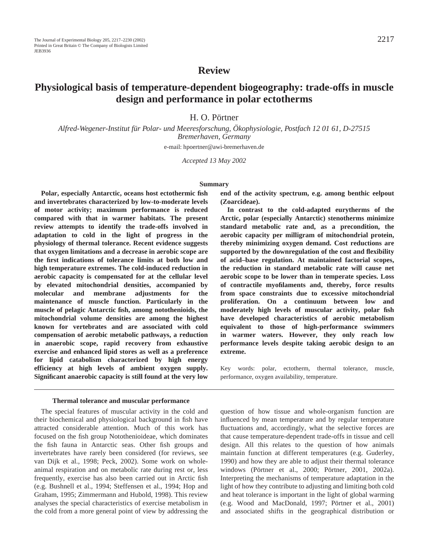# **Review**

# **Physiological basis of temperature-dependent biogeography: trade-offs in muscle design and performance in polar ectotherms**

H. O. Pörtner

*Alfred-Wegener-Institut für Polar- und Meeresforschung, Ökophysiologie, Postfach 12 01 61, D-27515 Bremerhaven, Germany*

e-mail: hpoertner@awi-bremerhaven.de

*Accepted 13 May 2002*

#### **Summary**

**Polar, especially Antarctic, oceans host ectothermic fish and invertebrates characterized by low-to-moderate levels of motor activity; maximum performance is reduced compared with that in warmer habitats. The present review attempts to identify the trade-offs involved in adaptation to cold in the light of progress in the physiology of thermal tolerance. Recent evidence suggests that oxygen limitations and a decrease in aerobic scope are the first indications of tolerance limits at both low and high temperature extremes. The cold-induced reduction in aerobic capacity is compensated for at the cellular level by elevated mitochondrial densities, accompanied by molecular and membrane adjustments for the maintenance of muscle function. Particularly in the muscle of pelagic Antarctic fish, among notothenioids, the mitochondrial volume densities are among the highest known for vertebrates and are associated with cold compensation of aerobic metabolic pathways, a reduction in anaerobic scope, rapid recovery from exhaustive exercise and enhanced lipid stores as well as a preference for lipid catabolism characterized by high energy efficiency at high levels of ambient oxygen supply. Significant anaerobic capacity is still found at the very low**

#### **Thermal tolerance and muscular performance**

The special features of muscular activity in the cold and their biochemical and physiological background in fish have attracted considerable attention. Much of this work has focused on the fish group Notothenioideae, which dominates the fish fauna in Antarctic seas. Other fish groups and invertebrates have rarely been considered (for reviews, see van Dijk et al., 1998; Peck, 2002). Some work on wholeanimal respiration and on metabolic rate during rest or, less frequently, exercise has also been carried out in Arctic fish (e.g. Bushnell et al., 1994; Steffensen et al., 1994; Hop and Graham, 1995; Zimmermann and Hubold, 1998). This review analyses the special characteristics of exercise metabolism in the cold from a more general point of view by addressing the **end of the activity spectrum, e.g. among benthic eelpout (Zoarcideae).**

**In contrast to the cold-adapted eurytherms of the Arctic, polar (especially Antarctic) stenotherms minimize standard metabolic rate and, as a precondition, the aerobic capacity per milligram of mitochondrial protein, thereby minimizing oxygen demand. Cost reductions are supported by the downregulation of the cost and flexibility of acid–base regulation. At maintained factorial scopes, the reduction in standard metabolic rate will cause net aerobic scope to be lower than in temperate species. Loss of contractile myofilaments and, thereby, force results from space constraints due to excessive mitochondrial proliferation. On a continuum between low and moderately high levels of muscular activity, polar fish have developed characteristics of aerobic metabolism equivalent to those of high-performance swimmers in warmer waters. However, they only reach low performance levels despite taking aerobic design to an extreme.**

Key words: polar, ectotherm, thermal tolerance, muscle, performance, oxygen availability, temperature.

question of how tissue and whole-organism function are influenced by mean temperature and by regular temperature fluctuations and, accordingly, what the selective forces are that cause temperature-dependent trade-offs in tissue and cell design. All this relates to the question of how animals maintain function at different temperatures (e.g. Guderley, 1990) and how they are able to adjust their thermal tolerance windows (Pörtner et al., 2000; Pörtner, 2001, 2002a). Interpreting the mechanisms of temperature adaptation in the light of how they contribute to adjusting and limiting both cold and heat tolerance is important in the light of global warming (e.g. Wood and MacDonald, 1997; Pörtner et al., 2001) and associated shifts in the geographical distribution or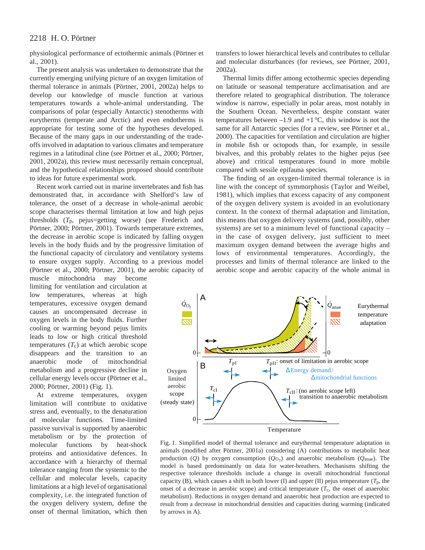physiological performance of ectothermic animals (Pörtner et al., 2001).

The present analysis was undertaken to demonstrate that the currently emerging unifying picture of an oxygen limitation of thermal tolerance in animals (Pörtner, 2001, 2002a) helps to develop our knowledge of muscle function at various temperatures towards a whole-animal understanding. The comparisons of polar (especially Antarctic) stenotherms with eurytherms (temperate and Arctic) and even endotherms is appropriate for testing some of the hypotheses developed. Because of the many gaps in our understanding of the tradeoffs involved in adaptation to various climates and temperature regimes in a latitudinal cline (see Pörtner et al., 2000; Pörtner, 2001, 2002a), this review must necessarily remain conceptual, and the hypothetical relationships proposed should contribute to ideas for future experimental work.

Recent work carried out in marine invertebrates and fish has demonstrated that, in accordance with Shelford's law of tolerance, the onset of a decrease in whole-animal aerobic scope characterises thermal limitation at low and high pejus thresholds (*T*p, pejus=getting worse) (see Frederich and Pörtner, 2000; Pörtner, 2001). Towards temperature extremes, the decrease in aerobic scope is indicated by falling oxygen levels in the body fluids and by the progressive limitation of the functional capacity of circulatory and ventilatory systems to ensure oxygen supply. According to a previous model (Pörtner et al., 2000; Pörtner, 2001), the aerobic capacity of

muscle mitochondria may become limiting for ventilation and circulation at low temperatures, whereas at high temperatures, excessive oxygen demand causes an uncompensated decrease in oxygen levels in the body fluids. Further cooling or warming beyond pejus limits leads to low or high critical threshold temperatures  $(T_c)$  at which aerobic scope disappears and the transition to an anaerobic mode of mitochondrial metabolism and a progressive decline in cellular energy levels occur (Pörtner et al., 2000; Pörtner, 2001) (Fig. 1).

At extreme temperatures, oxygen limitation will contribute to oxidative stress and, eventually, to the denaturation of molecular functions. Time-limited passive survival is supported by anaerobic metabolism or by the protection of molecular functions by heat-shock proteins and antioxidative defences. In accordance with a hierarchy of thermal tolerance ranging from the systemic to the cellular and molecular levels, capacity limitations at a high level of organisational complexity, i.e. the integrated function of the oxygen delivery system, define the onset of thermal limitation, which then

transfers to lower hierarchical levels and contributes to cellular and molecular disturbances (for reviews, see Pörtner, 2001, 2002a).

Thermal limits differ among ectothermic species depending on latitude or seasonal temperature acclimatisation and are therefore related to geographical distribution. The tolerance window is narrow, especially in polar areas, most notably in the Southern Ocean. Nevertheless, despite constant water temperatures between  $-1.9$  and  $+1$  °C, this window is not the same for all Antarctic species (for a review, see Pörtner et al., 2000). The capacities for ventilation and circulation are higher in mobile fish or octopods than, for example, in sessile bivalves, and this probably relates to the higher pejus (see above) and critical temperatures found in more mobile compared with sessile epifauna species.

The finding of an oxygen-limited thermal tolerance is in line with the concept of symmorphosis (Taylor and Weibel, 1981), which implies that excess capacity of any component of the oxygen delivery system is avoided in an evolutionary context. In the context of thermal adaptation and limitation, this means that oxygen delivery systems (and, possibly, other systems) are set to a minimum level of functional capacity – in the case of oxygen delivery, just sufficient to meet maximum oxygen demand between the average highs and lows of environmental temperatures. Accordingly, the processes and limits of thermal tolerance are linked to the aerobic scope and aerobic capacity of the whole animal in



Fig. 1. Simplified model of thermal tolerance and eurythermal temperature adaptation in animals (modified after Pörtner, 2001a) considering (A) contributions to metabolic heat production (*Q*<sup>)</sup> by oxygen consumption ( $\dot{Q}_{O_2}$ ) and anaerobic metabolism ( $\dot{Q}_{anae}$ ). The model is based predominantly on data for water-breathers. Mechanisms shifting the respective tolerance thresholds include a change in overall mitochondrial functional capacity (B), which causes a shift in both lower (I) and upper (II) pejus temperature  $(T_p)$ , the onset of a decrease in aerobic scope) and critical temperature  $(T_c)$ , the onset of anaerobic metabolism). Reductions in oxygen demand and anaerobic heat production are expected to result from a decrease in mitochondrial densities and capacities during warming (indicated by arrows in A).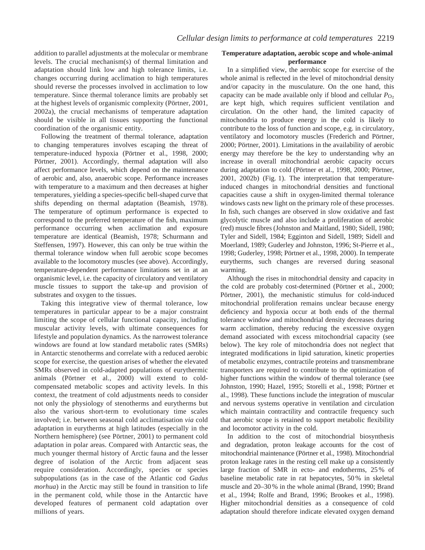addition to parallel adjustments at the molecular or membrane levels. The crucial mechanism(s) of thermal limitation and adaptation should link low and high tolerance limits, i.e. changes occurring during acclimation to high temperatures should reverse the processes involved in acclimation to low temperature. Since thermal tolerance limits are probably set at the highest levels of organismic complexity (Pörtner, 2001, 2002a), the crucial mechanisms of temperature adaptation should be visible in all tissues supporting the functional coordination of the organismic entity.

Following the treatment of thermal tolerance, adaptation to changing temperatures involves escaping the threat of temperature-induced hypoxia (Pörtner et al., 1998, 2000; Pörtner, 2001). Accordingly, thermal adaptation will also affect performance levels, which depend on the maintenance of aerobic and, also, anaerobic scope. Performance increases with temperature to a maximum and then decreases at higher temperatures, yielding a species-specific bell-shaped curve that shifts depending on thermal adaptation (Beamish, 1978). The temperature of optimum performance is expected to correspond to the preferred temperature of the fish, maximum performance occurring when acclimation and exposure temperature are identical (Beamish, 1978; Schurmann and Steffensen, 1997). However, this can only be true within the thermal tolerance window when full aerobic scope becomes available to the locomotory muscles (see above). Accordingly, temperature-dependent performance limitations set in at an organismic level, i.e. the capacity of circulatory and ventilatory muscle tissues to support the take-up and provision of substrates and oxygen to the tissues.

Taking this integrative view of thermal tolerance, low temperatures in particular appear to be a major constraint limiting the scope of cellular functional capacity, including muscular activity levels, with ultimate consequences for lifestyle and population dynamics. As the narrowest tolerance windows are found at low standard metabolic rates (SMRs) in Antarctic stenotherms and correlate with a reduced aerobic scope for exercise, the question arises of whether the elevated SMRs observed in cold-adapted populations of eurythermic animals (Pörtner et al., 2000) will extend to coldcompensated metabolic scopes and activity levels. In this context, the treatment of cold adjustments needs to consider not only the physiology of stenotherms and eurytherms but also the various short-term to evolutionary time scales involved; i.e. between seasonal cold acclimatisation *via* cold adaptation in eurytherms at high latitudes (especially in the Northern hemisphere) (see Pörtner, 2001) to permanent cold adaptation in polar areas. Compared with Antarctic seas, the much younger thermal history of Arctic fauna and the lesser degree of isolation of the Arctic from adjacent seas require consideration. Accordingly, species or species subpopulations (as in the case of the Atlantic cod *Gadus morhua*) in the Arctic may still be found in transition to life in the permanent cold, while those in the Antarctic have developed features of permanent cold adaptation over millions of years.

### **Temperature adaptation, aerobic scope and whole-animal performance**

In a simplified view, the aerobic scope for exercise of the whole animal is reflected in the level of mitochondrial density and/or capacity in the musculature. On the one hand, this capacity can be made available only if blood and cellular  $P_{\text{O}_2}$ are kept high, which requires sufficient ventilation and circulation. On the other hand, the limited capacity of mitochondria to produce energy in the cold is likely to contribute to the loss of function and scope, e.g. in circulatory, ventilatory and locomotory muscles (Frederich and Pörtner, 2000; Pörtner, 2001). Limitations in the availability of aerobic energy may therefore be the key to understanding why an increase in overall mitochondrial aerobic capacity occurs during adaptation to cold (Pörtner et al., 1998, 2000; Pörtner, 2001, 2002b) (Fig. 1). The interpretation that temperatureinduced changes in mitochondrial densities and functional capacities cause a shift in oxygen-limited thermal tolerance windows casts new light on the primary role of these processes. In fish, such changes are observed in slow oxidative and fast glycolytic muscle and also include a proliferation of aerobic (red) muscle fibres (Johnston and Maitland, 1980; Sidell, 1980; Tyler and Sidell, 1984; Egginton and Sidell, 1989; Sidell and Moerland, 1989; Guderley and Johnston, 1996; St-Pierre et al., 1998; Guderley, 1998; Pörtner et al., 1998, 2000). In temperate eurytherms, such changes are reversed during seasonal warming.

Although the rises in mitochondrial density and capacity in the cold are probably cost-determined (Pörtner et al., 2000; Pörtner, 2001), the mechanistic stimulus for cold-induced mitochondrial proliferation remains unclear because energy deficiency and hypoxia occur at both ends of the thermal tolerance window and mitochondrial density decreases during warm acclimation, thereby reducing the excessive oxygen demand associated with excess mitochondrial capacity (see below). The key role of mitochondria does not neglect that integrated modifications in lipid saturation, kinetic properties of metabolic enzymes, contractile proteins and transmembrane transporters are required to contribute to the optimization of higher functions within the window of thermal tolerance (see Johnston, 1990; Hazel, 1995; Storelli et al., 1998; Pörtner et al., 1998). These functions include the integration of muscular and nervous systems operative in ventilation and circulation which maintain contractility and contractile frequency such that aerobic scope is retained to support metabolic flexibility and locomotor activity in the cold.

In addition to the cost of mitochondrial biosynthesis and degradation, proton leakage accounts for the cost of mitochondrial maintenance (Pörtner et al., 1998). Mitochondrial proton leakage rates in the resting cell make up a consistently large fraction of SMR in ecto- and endotherms, 25 % of baseline metabolic rate in rat hepatocytes, 50 % in skeletal muscle and 20–30 % in the whole animal (Brand, 1990; Brand et al., 1994; Rolfe and Brand, 1996; Brookes et al., 1998). Higher mitochondrial densities as a consequence of cold adaptation should therefore indicate elevated oxygen demand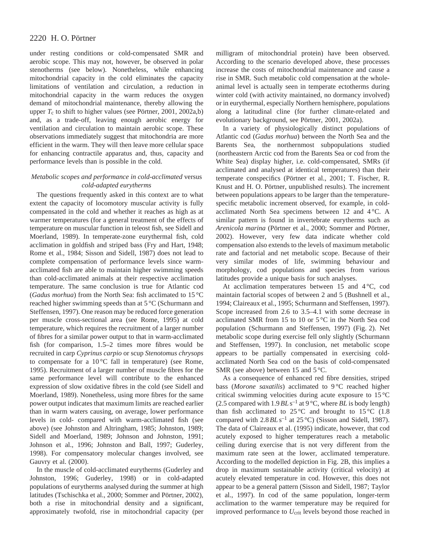under resting conditions or cold-compensated SMR and aerobic scope. This may not, however, be observed in polar stenotherms (see below). Nonetheless, while enhancing mitochondrial capacity in the cold eliminates the capacity limitations of ventilation and circulation, a reduction in mitochondrial capacity in the warm reduces the oxygen demand of mitochondrial maintenance, thereby allowing the upper  $T_c$  to shift to higher values (see Pörtner, 2001, 2002a,b) and, as a trade-off, leaving enough aerobic energy for ventilation and circulation to maintain aerobic scope. These observations immediately suggest that mitochondria are more efficient in the warm. They will then leave more cellular space for enhancing contractile apparatus and, thus, capacity and performance levels than is possible in the cold.

### *Metabolic scopes and performance in cold-acclimated* versus *cold-adapted eurytherms*

The questions frequently asked in this context are to what extent the capacity of locomotory muscular activity is fully compensated in the cold and whether it reaches as high as at warmer temperatures (for a general treatment of the effects of temperature on muscular function in teleost fish, see Sidell and Moerland, 1989). In temperate-zone eurythermal fish, cold acclimation in goldfish and striped bass (Fry and Hart, 1948; Rome et al., 1984; Sisson and Sidell, 1987) does not lead to complete compensation of performance levels since warmacclimated fish are able to maintain higher swimming speeds than cold-acclimated animals at their respective acclimation temperature. The same conclusion is true for Atlantic cod (*Gadus morhua*) from the North Sea: fish acclimated to 15 °C reached higher swimming speeds than at 5 °C (Schurmann and Steffensen, 1997). One reason may be reduced force generation per muscle cross-sectional area (see Rome, 1995) at cold temperature, which requires the recruitment of a larger number of fibres for a similar power output to that in warm-acclimated fish (for comparison, 1.5–2 times more fibres would be recruited in carp *Cyprinus carpio* or scup *Stenotomus chrysops* to compensate for a  $10^{\circ}$ C fall in temperature) (see Rome, 1995). Recruitment of a larger number of muscle fibres for the same performance level will contribute to the enhanced expression of slow oxidative fibres in the cold (see Sidell and Moerland, 1989). Nonetheless, using more fibres for the same power output indicates that maximum limits are reached earlier than in warm waters causing, on average, lower performance levels in cold- compared with warm-acclimated fish (see above) (see Johnston and Altringham, 1985; Johnston, 1989; Sidell and Moerland, 1989; Johnson and Johnston, 1991; Johnson et al., 1996; Johnston and Ball, 1997; Guderley, 1998). For compensatory molecular changes involved, see Gauvry et al. (2000).

In the muscle of cold-acclimated eurytherms (Guderley and Johnston, 1996; Guderley, 1998) or in cold-adapted populations of eurytherms analysed during the summer at high latitudes (Tschischka et al., 2000; Sommer and Pörtner, 2002), both a rise in mitochondrial density and a significant, approximately twofold, rise in mitochondrial capacity (per

milligram of mitochondrial protein) have been observed. According to the scenario developed above, these processes increase the costs of mitochondrial maintenance and cause a rise in SMR. Such metabolic cold compensation at the wholeanimal level is actually seen in temperate ectotherms during winter cold (with activity maintained, no dormancy involved) or in eurythermal, especially Northern hemisphere, populations along a latitudinal cline (for further climate-related and evolutionary background, see Pörtner, 2001, 2002a).

In a variety of physiologically distinct populations of Atlantic cod (*Gadus morhua*) between the North Sea and the Barents Sea, the northernmost subpopulations studied (northeastern Arctic cod from the Barents Sea or cod from the White Sea) display higher, i.e. cold-compensated, SMRs (if acclimated and analysed at identical temperatures) than their temperate conspecifics (Pörtner et al., 2001; T. Fischer, R. Knust and H. O. Pörtner, unpublished results). The increment between populations appears to be larger than the temperaturespecific metabolic increment observed, for example, in coldacclimated North Sea specimens between 12 and 4 °C. A similar pattern is found in invertebrate eurytherms such as *Arenicola marina* (Pörtner et al., 2000; Sommer and Pörtner, 2002). However, very few data indicate whether cold compensation also extends to the levels of maximum metabolic rate and factorial and net metabolic scope. Because of their very similar modes of life, swimming behaviour and morphology, cod populations and species from various latitudes provide a unique basis for such analyses.

At acclimation temperatures between 15 and 4 °C, cod maintain factorial scopes of between 2 and 5 (Bushnell et al., 1994; Claireaux et al., 1995; Schurmann and Steffensen, 1997). Scope increased from 2.6 to 3.5–4.1 with some decrease in acclimated SMR from 15 to 10 or 5 °C in the North Sea cod population (Schurmann and Steffensen, 1997) (Fig. 2). Net metabolic scope during exercise fell only slightly (Schurmann and Steffensen, 1997). In conclusion, net metabolic scope appears to be partially compensated in exercising coldacclimated North Sea cod on the basis of cold-compensated SMR (see above) between 15 and 5 °C.

As a consequence of enhanced red fibre densities, striped bass (*Morone saxatilis*) acclimated to 9 °C reached higher critical swimming velocities during acute exposure to 15 °C (2.5 compared with  $1.9$   $BL$  s<sup>-1</sup> at 9 °C, where  $BL$  is body length) than fish acclimated to  $25^{\circ}$ C and brought to  $15^{\circ}$ C (1.8) compared with  $2.8$  *BL* s<sup>-1</sup> at  $25^{\circ}$ C) (Sisson and Sidell, 1987). The data of Claireaux et al. (1995) indicate, however, that cod acutely exposed to higher temperatures reach a metabolic ceiling during exercise that is not very different from the maximum rate seen at the lower, acclimated temperature. According to the modelled depiction in Fig. 2B, this implies a drop in maximum sustainable activity (critical velocity) at acutely elevated temperature in cod. However, this does not appear to be a general pattern (Sisson and Sidell, 1987; Taylor et al., 1997). In cod of the same population, longer-term acclimation to the warmer temperature may be required for improved performance to  $U_{\text{crit}}$  levels beyond those reached in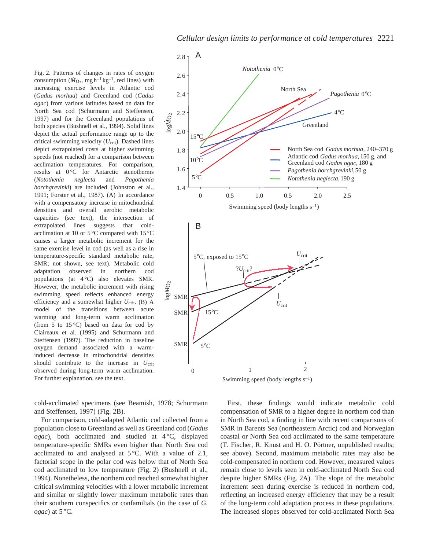Fig. 2. Patterns of changes in rates of oxygen consumption ( $\dot{M}_{\text{O}_2}$ , mg h<sup>-1</sup> kg<sup>-1</sup>, red lines) with increasing exercise levels in Atlantic cod (*Gadus morhua*) and Greenland cod (*Gadus ogac*) from various latitudes based on data for North Sea cod (Schurmann and Steffensen, 1997) and for the Greenland populations of both species (Bushnell et al., 1994). Solid lines depict the actual performance range up to the critical swimming velocity  $(U_{\text{crit}})$ . Dashed lines depict extrapolated costs at higher swimming speeds (not reached) for a comparison between acclimation temperatures. For comparison, results at 0 °C for Antarctic stenotherms (*Notothenia neglecta* and *Pagothenia borchgrevinki*) are included (Johnston et al., 1991; Forster et al., 1987). (A) In accordance with a compensatory increase in mitochondrial densities and overall aerobic metabolic capacities (see text), the intersection of extrapolated lines suggests that coldacclimation at 10 or 5 °C compared with 15 °C causes a larger metabolic increment for the same exercise level in cod (as well as a rise in temperature-specific standard metabolic rate, SMR; not shown, see text). Metabolic cold adaptation observed in northern cod populations (at 4 °C) also elevates SMR. However, the metabolic increment with rising swimming speed reflects enhanced energy efficiency and a somewhat higher  $U_{\text{crit}}$ . (B) A model of the transitions between acute warming and long-term warm acclimation (from 5 to  $15^{\circ}$ C) based on data for cod by Claireaux et al. (1995) and Schurmann and Steffensen (1997). The reduction in baseline oxygen demand associated with a warminduced decrease in mitochondrial densities should contribute to the increase in *U*crit observed during long-term warm acclimation. For further explanation, see the text.

cold-acclimated specimens (see Beamish, 1978; Schurmann and Steffensen, 1997) (Fig. 2B).

For comparison, cold-adapted Atlantic cod collected from a population close to Greenland as well as Greenland cod (*Gadus ogac*), both acclimated and studied at 4 °C, displayed temperature-specific SMRs even higher than North Sea cod acclimated to and analysed at  $5^{\circ}$ C. With a value of 2.1, factorial scope in the polar cod was below that of North Sea cod acclimated to low temperature (Fig. 2) (Bushnell et al., 1994). Nonetheless, the northern cod reached somewhat higher critical swimming velocities with a lower metabolic increment and similar or slightly lower maximum metabolic rates than their southern conspecifics or confamilials (in the case of *G. ogac*) at 5 °C.



Swimming speed (body lengths  $s^{-1}$ )

First, these findings would indicate metabolic cold compensation of SMR to a higher degree in northern cod than in North Sea cod, a finding in line with recent comparisons of SMR in Barents Sea (northeastern Arctic) cod and Norwegian coastal or North Sea cod acclimated to the same temperature (T. Fischer, R. Knust and H. O. Pörtner, unpublished results; see above). Second, maximum metabolic rates may also be cold-compensated in northern cod. However, measured values remain close to levels seen in cold-acclimated North Sea cod despite higher SMRs (Fig. 2A). The slope of the metabolic increment seen during exercise is reduced in northern cod, reflecting an increased energy efficiency that may be a result of the long-term cold adaptation process in these populations. The increased slopes observed for cold-acclimated North Sea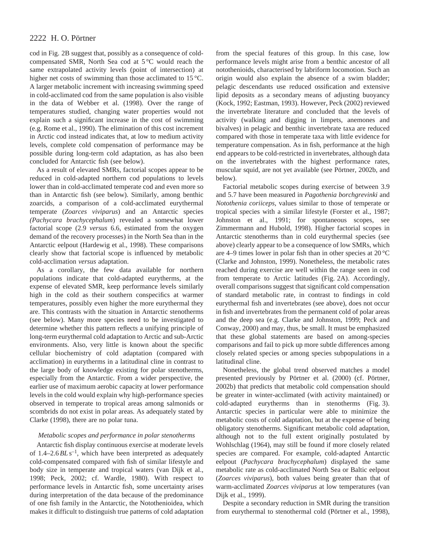cod in Fig. 2B suggest that, possibly as a consequence of coldcompensated SMR, North Sea cod at 5 °C would reach the same extrapolated activity levels (point of intersection) at higher net costs of swimming than those acclimated to 15 °C. A larger metabolic increment with increasing swimming speed in cold-acclimated cod from the same population is also visible in the data of Webber et al. (1998). Over the range of temperatures studied, changing water properties would not explain such a significant increase in the cost of swimming (e.g. Rome et al., 1990). The elimination of this cost increment in Arctic cod instead indicates that, at low to medium activity levels, complete cold compensation of performance may be possible during long-term cold adaptation, as has also been concluded for Antarctic fish (see below).

As a result of elevated SMRs, factorial scopes appear to be reduced in cold-adapted northern cod populations to levels lower than in cold-acclimated temperate cod and even more so than in Antarctic fish (see below). Similarly, among benthic zoarcids, a comparison of a cold-acclimated eurythermal temperate (*Zoarces viviparus*) and an Antarctic species *(Pachycara brachycephalum*) revealed a somewhat lower factorial scope (2.9 *versus* 6.6, estimated from the oxygen demand of the recovery processes) in the North Sea than in the Antarctic eelpout (Hardewig et al., 1998). These comparisons clearly show that factorial scope is influenced by metabolic cold-acclimation *versus* adaptation.

As a corollary, the few data available for northern populations indicate that cold-adapted eurytherms, at the expense of elevated SMR, keep performance levels similarly high in the cold as their southern conspecifics at warmer temperatures, possibly even higher the more eurythermal they are. This contrasts with the situation in Antarctic stenotherms (see below). Many more species need to be investigated to determine whether this pattern reflects a unifying principle of long-term eurythermal cold adaptation to Arctic and sub-Arctic environments. Also, very little is known about the specific cellular biochemistry of cold adaptation (compared with acclimation) in eurytherms in a latitudinal cline in contrast to the large body of knowledge existing for polar stenotherms, especially from the Antarctic. From a wider perspective, the earlier use of maximum aerobic capacity at lower performance levels in the cold would explain why high-performance species observed in temperate to tropical areas among salmonids or scombrids do not exist in polar areas. As adequately stated by Clarke (1998), there are no polar tuna.

### *Metabolic scopes and performance in polar stenotherms*

Antarctic fish display continuous exercise at moderate levels of 1.4–2.6*BL* s–1, which have been interpreted as adequately cold-compensated compared with fish of similar lifestyle and body size in temperate and tropical waters (van Dijk et al., 1998; Peck, 2002; cf. Wardle, 1980). With respect to performance levels in Antarctic fish, some uncertainty arises during interpretation of the data because of the predominance of one fish family in the Antarctic, the Notothenioidea, which makes it difficult to distinguish true patterns of cold adaptation from the special features of this group. In this case, low performance levels might arise from a benthic ancestor of all notothenioids, characterised by labriform locomotion. Such an origin would also explain the absence of a swim bladder; pelagic descendants use reduced ossification and extensive lipid deposits as a secondary means of adjusting buoyancy (Kock, 1992; Eastman, 1993). However, Peck (2002) reviewed the invertebrate literature and concluded that the levels of activity (walking and digging in limpets, anemones and bivalves) in pelagic and benthic invertebrate taxa are reduced compared with those in temperate taxa with little evidence for temperature compensation. As in fish, performance at the high end appears to be cold-restricted in invertebrates, although data on the invertebrates with the highest performance rates, muscular squid, are not yet available (see Pörtner, 2002b, and below).

Factorial metabolic scopes during exercise of between 3.9 and 5.7 have been measured in *Pagothenia borchgrevinki* and *Notothenia coriiceps*, values similar to those of temperate or tropical species with a similar lifestyle (Forster et al., 1987; Johnston et al., 1991; for spontaneous scopes, see Zimmermann and Hubold, 1998). Higher factorial scopes in Antarctic stenotherms than in cold eurythermal species (see above) clearly appear to be a consequence of low SMRs, which are 4–9 times lower in polar fish than in other species at 20 °C (Clarke and Johnston, 1999). Nonetheless, the metabolic rates reached during exercise are well within the range seen in cod from temperate to Arctic latitudes (Fig. 2A). Accordingly, overall comparisons suggest that significant cold compensation of standard metabolic rate, in contrast to findings in cold eurythermal fish and invertebrates (see above), does not occur in fish and invertebrates from the permanent cold of polar areas and the deep sea (e.g. Clarke and Johnston, 1999; Peck and Conway, 2000) and may, thus, be small. It must be emphasized that these global statements are based on among-species comparisons and fail to pick up more subtle differences among closely related species or among species subpopulations in a latitudinal cline.

Nonetheless, the global trend observed matches a model presented previously by Pörtner et al. (2000) (cf. Pörtner, 2002b) that predicts that metabolic cold compensation should be greater in winter-acclimated (with activity maintained) or cold-adapted eurytherms than in stenotherms (Fig. 3). Antarctic species in particular were able to minimize the metabolic costs of cold adaptation, but at the expense of being obligatory stenotherms. Significant metabolic cold adaptation, although not to the full extent originally postulated by Wohlschlag (1964), may still be found if more closely related species are compared. For example, cold-adapted Antarctic eelpout (*Pachycara brachycephalum*) displayed the same metabolic rate as cold-acclimated North Sea or Baltic eelpout (*Zoarces viviparus*), both values being greater than that of warm-acclimated *Zoarces viviparus* at low temperatures (van Dijk et al., 1999).

Despite a secondary reduction in SMR during the transition from eurythermal to stenothermal cold (Pörtner et al., 1998),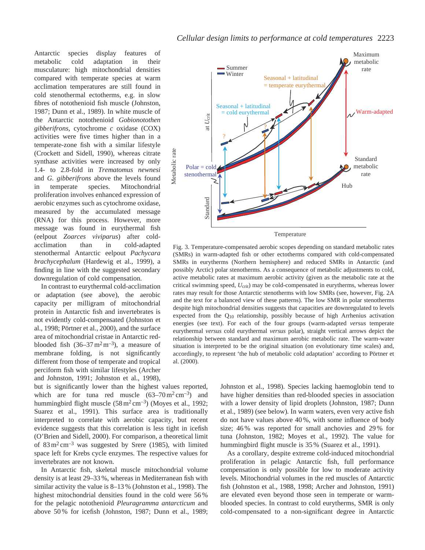Antarctic species display features of metabolic cold adaptation in their musculature: high mitochondrial densities compared with temperate species at warm acclimation temperatures are still found in cold stenothermal ectotherms, e.g. in slow fibres of notothenioid fish muscle (Johnston, 1987; Dunn et al., 1989). In white muscle of the Antarctic notothenioid *Gobionotothen gibberifrons*, cytochrome *c* oxidase (COX) activities were five times higher than in a temperate-zone fish with a similar lifestyle (Crockett and Sidell, 1990), whereas citrate synthase activities were increased by only 1.4- to 2.8-fold in *Trematomus newnesi* and *G. gibberifrons* above the levels found in temperate species. Mitochondrial proliferation involves enhanced expression of aerobic enzymes such as cytochrome oxidase, measured by the accumulated message (RNA) for this process. However, more message was found in eurythermal fish (eelpout *Zoarces viviparus*) after coldacclimation than in cold-adapted stenothermal Antarctic eelpout *Pachycara brachycephalum* (Hardewig et al., 1999), a finding in line with the suggested secondary downregulation of cold compensation.

In contrast to eurythermal cold-acclimation or adaptation (see above), the aerobic capacity per milligram of mitochondrial protein in Antarctic fish and invertebrates is not evidently cold-compensated (Johnston et al., 1998; Pörtner et al., 2000), and the surface area of mitochondrial cristae in Antarctic redblooded fish  $(36-37 \text{ m}^2 \text{ m}^{-3})$ , a measure of membrane folding, is not significantly different from those of temperate and tropical perciform fish with similar lifestyles (Archer and Johnston, 1991; Johnston et al., 1998),

but is significantly lower than the highest values reported, which are for tuna red muscle  $(63-70 \text{ m}^2 \text{ cm}^{-3})$  and hummingbird flight muscle  $(58 \text{ m}^2 \text{ cm}^{-3})$  (Moyes et al., 1992; Suarez et al., 1991). This surface area is traditionally interpreted to correlate with aerobic capacity, but recent evidence suggests that this correlation is less tight in icefish (O'Brien and Sidell, 2000). For comparison, a theoretical limit of  $83 \text{ m}^2 \text{ cm}^{-3}$  was suggested by Srere (1985), with limited space left for Krebs cycle enzymes. The respective values for invertebrates are not known.

In Antarctic fish, skeletal muscle mitochondrial volume density is at least 29–33 %, whereas in Mediterranean fish with similar activity the value is 8–13 % (Johnston et al., 1998). The highest mitochondrial densities found in the cold were 56 % for the pelagic notothenioid *Pleuragramma antarcticum* and above 50 % for icefish (Johnston, 1987; Dunn et al., 1989;



Temperature

Fig. 3. Temperature-compensated aerobic scopes depending on standard metabolic rates (SMRs) in warm-adapted fish or other ectotherms compared with cold-compensated SMRs in eurytherms (Northern hemisphere) and reduced SMRs in Antarctic (and possibly Arctic) polar stenotherms. As a consequence of metabolic adjustments to cold, active metabolic rates at maximum aerobic activity (given as the metabolic rate at the critical swimming speed, *U*crit) may be cold-compensated in eurytherms, whereas lower rates may result for those Antarctic stenotherms with low SMRs (see, however, Fig. 2A and the text for a balanced view of these patterns). The low SMR in polar stenotherms despite high mitochondrial densities suggests that capacities are downregulated to levels expected from the Q10 relationship, possibly because of high Arrhenius activation energies (see text). For each of the four groups (warm-adapted *versus* temperate eurythermal *versus* cold eurythermal *versus* polar), straight vertical arrows depict the relationship between standard and maximum aerobic metabolic rate. The warm-water situation is interpreted to be the original situation (on evolutionary time scales) and, accordingly, to represent 'the hub of metabolic cold adaptation' according to Pörtner et al. (2000).

Johnston et al., 1998). Species lacking haemoglobin tend to have higher densities than red-blooded species in association with a lower density of lipid droplets (Johnston, 1987; Dunn et al., 1989) (see below)*.* In warm waters, even very active fish do not have values above 40 %, with some influence of body size; 46 % was reported for small anchovies and 29 % for tuna (Johnston, 1982; Moyes et al., 1992). The value for hummingbird flight muscle is 35 % (Suarez et al., 1991).

As a corollary, despite extreme cold-induced mitochondrial proliferation in pelagic Antarctic fish, full performance compensation is only possible for low to moderate activity levels. Mitochondrial volumes in the red muscles of Antarctic fish (Johnston et al., 1988, 1998; Archer and Johnston, 1991) are elevated even beyond those seen in temperate or warmblooded species. In contrast to cold eurytherms, SMR is only cold-compensated to a non-significant degree in Antarctic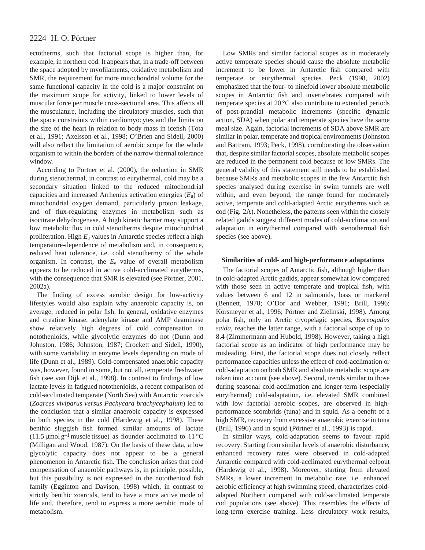ectotherms, such that factorial scope is higher than, for example, in northern cod. It appears that, in a trade-off between the space adopted by myofilaments, oxidative metabolism and SMR, the requirement for more mitochondrial volume for the same functional capacity in the cold is a major constraint on the maximum scope for activity, linked to lower levels of muscular force per muscle cross-sectional area. This affects all the musculature, including the circulatory muscles, such that the space constraints within cardiomyocytes and the limits on the size of the heart in relation to body mass in icefish (Tota et al., 1991; Axelsson et al., 1998; O'Brien and Sidell, 2000) will also reflect the limitation of aerobic scope for the whole organism to within the borders of the narrow thermal tolerance window.

According to Pörtner et al. (2000), the reduction in SMR during stenothermal, in contrast to eurythermal, cold may be a secondary situation linked to the reduced mitochondrial capacities and increased Arrhenius activation energies (*E*a) of mitochondrial oxygen demand, particularly proton leakage, and of flux-regulating enzymes in metabolism such as isocitrate dehydrogenase. A high kinetic barrier may support a low metabolic flux in cold stenotherms despite mitochondrial proliferation. High *E*a values in Antarctic species reflect a high temperature-dependence of metabolism and, in consequence, reduced heat tolerance, i.e. cold stenothermy of the whole organism. In contrast, the *E*a value of overall metabolism appears to be reduced in active cold-acclimated eurytherms, with the consequence that SMR is elevated (see Pörtner, 2001, 2002a).

The finding of excess aerobic design for low-activity lifestyles would also explain why anaerobic capacity is, on average, reduced in polar fish. In general, oxidative enzymes and creatine kinase, adenylate kinase and AMP deaminase show relatively high degrees of cold compensation in notothenioids, while glycolytic enzymes do not (Dunn and Johnston, 1986; Johnston, 1987; Crockett and Sidell, 1990), with some variability in enzyme levels depending on mode of life (Dunn et al., 1989). Cold-compensated anaerobic capacity was, however, found in some, but not all, temperate freshwater fish (see van Dijk et al., 1998). In contrast to findings of low lactate levels in fatigued notothenioids, a recent comparison of cold-acclimated temperate (North Sea) with Antarctic zoarcids (*Zoarces viviparus versus Pachycara brachycephalum*) led to the conclusion that a similar anaerobic capacity is expressed in both species in the cold (Hardewig et al., 1998). These benthic sluggish fish formed similar amounts of lactate (11.5 µmol g<sup>-1</sup> muscle tissue) as flounder acclimated to 11 °C (Milligan and Wood, 1987). On the basis of these data, a low glycolytic capacity does not appear to be a general phenomenon in Antarctic fish. The conclusion arises that cold compensation of anaerobic pathways is, in principle, possible, but this possibility is not expressed in the notothenioid fish family (Egginton and Davison, 1998) which, in contrast to strictly benthic zoarcids, tend to have a more active mode of life and, therefore, tend to express a more aerobic mode of metabolism.

Low SMRs and similar factorial scopes as in moderately active temperate species should cause the absolute metabolic increment to be lower in Antarctic fish compared with temperate or eurythermal species. Peck (1998, 2002) emphasized that the four- to ninefold lower absolute metabolic scopes in Antarctic fish and invertebrates compared with temperate species at 20 °C also contribute to extended periods of post-prandial metabolic increments (specific dynamic action, SDA) when polar and temperate species have the same meal size. Again, factorial increments of SDA above SMR are similar in polar, temperate and tropical environments (Johnston and Battram, 1993; Peck, 1998), corroborating the observation that, despite similar factorial scopes, absolute metabolic scopes are reduced in the permanent cold because of low SMRs. The general validity of this statement still needs to be established because SMRs and metabolic scopes in the few Antarctic fish species analysed during exercise in swim tunnels are well within, and even beyond, the range found for moderately active, temperate and cold-adapted Arctic eurytherms such as cod (Fig. 2A). Nonetheless, the patterns seen within the closely related gadids suggest different modes of cold-acclimation and adaptation in eurythermal compared with stenothermal fish species (see above).

#### **Similarities of cold- and high-performance adaptations**

The factorial scopes of Antarctic fish, although higher than in cold-adapted Arctic gadids, appear somewhat low compared with those seen in active temperate and tropical fish, with values between 6 and 12 in salmonids, bass or mackerel (Bennett, 1978; O'Dor and Webber, 1991; Brill, 1996; Korsmeyer et al., 1996; Pörtner and Zielinski, 1998). Among polar fish, only an Arctic cryopelagic species, *Boreogadus saida*, reaches the latter range, with a factorial scope of up to 8.4 (Zimmermann and Hubold, 1998). However, taking a high factorial scope as an indicator of high performance may be misleading. First, the factorial scope does not closely reflect performance capacities unless the effect of cold-acclimation or cold-adaptation on both SMR and absolute metabolic scope are taken into account (see above). Second, trends similar to those during seasonal cold-acclimation and longer-term (especially eurythermal) cold-adaptation, i.e. elevated SMR combined with low factorial aerobic scopes, are observed in highperformance scombrids (tuna) and in squid. As a benefit of a high SMR, recovery from excessive anaerobic exercise in tuna (Brill, 1996) and in squid (Pörtner et al., 1993) is rapid.

In similar ways, cold-adaptation seems to favour rapid recovery. Starting from similar levels of anaerobic disturbance, enhanced recovery rates were observed in cold-adapted Antarctic compared with cold-acclimated eurythermal eelpout (Hardewig et al., 1998). Moreover, starting from elevated SMRs, a lower increment in metabolic rate, i.e. enhanced aerobic efficiency at high swimming speed, characterizes coldadapted Northern compared with cold-acclimated temperate cod populations (see above). This resembles the effects of long-term exercise training. Less circulatory work results,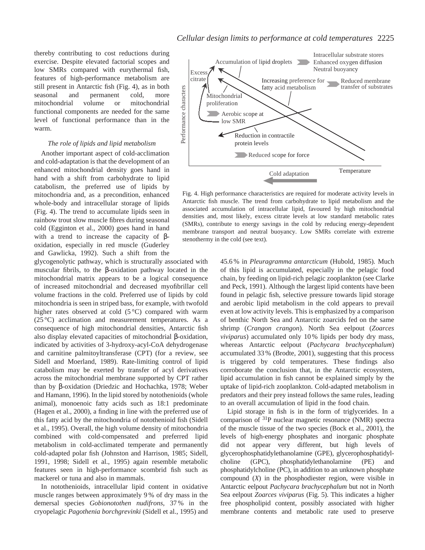thereby contributing to cost reductions during exercise. Despite elevated factorial scopes and low SMRs compared with eurythermal fish, features of high-performance metabolism are still present in Antarctic fish (Fig. 4), as in both seasonal and permanent cold, more mitochondrial volume or mitochondrial functional components are needed for the same level of functional performance than in the warm.

#### *The role of lipids and lipid metabolism*

Another important aspect of cold-acclimation and cold-adaptation is that the development of an enhanced mitochondrial density goes hand in hand with a shift from carbohydrate to lipid catabolism, the preferred use of lipids by mitochondria and, as a precondition, enhanced whole-body and intracellular storage of lipids (Fig. 4). The trend to accumulate lipids seen in rainbow trout slow muscle fibres during seasonal cold (Egginton et al., 2000) goes hand in hand with a trend to increase the capacity of  $\beta$ oxidation, especially in red muscle (Guderley and Gawlicka, 1992). Such a shift from the

glycogenolytic pathway, which is structurally associated with muscular fibrils, to the β-oxidation pathway located in the mitochondrial matrix appears to be a logical consequence of increased mitochondrial and decreased myofibrillar cell volume fractions in the cold. Preferred use of lipids by cold mitochondria is seen in striped bass, for example, with twofold higher rates observed at cold  $(5^{\circ}C)$  compared with warm (25 °C) acclimation and measurement temperatures. As a consequence of high mitochondrial densities, Antarctic fish also display elevated capacities of mitochondrial β-oxidation, indicated by activities of 3-hydroxy-acyl-CoA dehydrogenase and carnitine palmitoyltransferase (CPT) (for a review, see Sidell and Moerland, 1989). Rate-limiting control of lipid catabolism may be exerted by transfer of acyl derivatives across the mitochondrial membrane supported by CPT rather than by β-oxidation (Driedzic and Hochachka, 1978; Weber and Hamann, 1996). In the lipid stored by notothenioids (whole animal), monoenoic fatty acids such as 18:1 predominate (Hagen et al., 2000), a finding in line with the preferred use of this fatty acid by the mitochondria of notothenioid fish (Sidell et al., 1995). Overall, the high volume density of mitochondria combined with cold-compensated and preferred lipid metabolism in cold-acclimated temperate and permanently cold-adapted polar fish (Johnston and Harrison, 1985; Sidell, 1991, 1998; Sidell et al., 1995) again resemble metabolic features seen in high-performance scombrid fish such as mackerel or tuna and also in mammals.

In notothenioids, intracellular lipid content in oxidative muscle ranges between approximately 9 % of dry mass in the demersal species *Gobionotothen nudifrons*, 37 % in the cryopelagic *Pagothenia borchgrevinki* (Sidell et al., 1995) and



Fig. 4. High performance characteristics are required for moderate activity levels in Antarctic fish muscle. The trend from carbohydrate to lipid metabolism and the associated accumulation of intracellular lipid, favoured by high mitochondrial densities and, most likely, excess citrate levels at low standard metabolic rates (SMRs), contribute to energy savings in the cold by reducing energy-dependent membrane transport and neutral buoyancy. Low SMRs correlate with extreme stenothermy in the cold (see text).

45.6 % in *Pleuragramma antarcticum* (Hubold, 1985)*.* Much of this lipid is accumulated, especially in the pelagic food chain, by feeding on lipid-rich pelagic zooplankton (see Clarke and Peck, 1991). Although the largest lipid contents have been found in pelagic fish, selective pressure towards lipid storage and aerobic lipid metabolism in the cold appears to prevail even at low activity levels. This is emphasized by a comparison of benthic North Sea and Antarctic zoarcids fed on the same shrimp (*Crangon crangon*). North Sea eelpout (*Zoarces viviparus*) accumulated only 10 % lipids per body dry mass, whereas Antarctic eelpout (*Pachycara brachycephalum*) accumulated 33 % (Brodte, 2001), suggesting that this process is triggered by cold temperatures. These findings also corroborate the conclusion that, in the Antarctic ecosystem, lipid accumulation in fish cannot be explained simply by the uptake of lipid-rich zooplankton. Cold-adapted metabolism in predators and their prey instead follows the same rules, leading to an overall accumulation of lipid in the food chain.

Lipid storage in fish is in the form of triglycerides. In a comparison of 31P nuclear magnetic resonance (NMR) spectra of the muscle tissue of the two species (Bock et al., 2001), the levels of high-energy phosphates and inorganic phosphate did not appear very different, but high levels of glycerophosphatidylethanolamine (GPE), glycerophosphatidylcholine (GPC), phosphatidylethanolamine (PE) and phosphatidylcholine (PC), in addition to an unknown phosphate compound (*X*) in the phosphodiester region, were visible in Antarctic eelpout *Pachycara brachycephalum* but not in North Sea eelpout *Zoarces viviparus* (Fig. 5). This indicates a higher free phospholipid content, possibly associated with higher membrane contents and metabolic rate used to preserve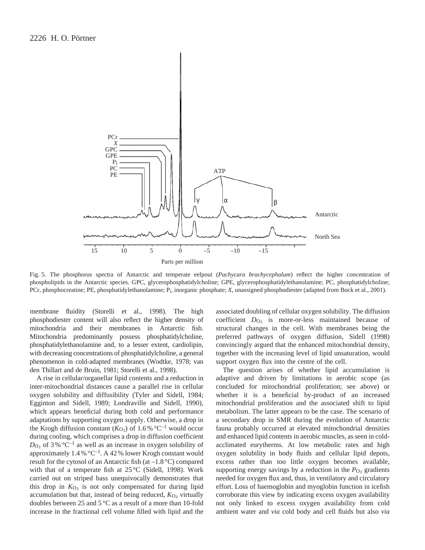

Fig. 5. The phosphorus spectra of Antarctic and temperate eelpout (*Pachycara brachycephalum*) reflect the higher concentration of phospholipids in the Antarctic species. GPC, glycerophosphatidylcholine; GPE, glycerophosphatidylethanolamine; PC, phosphatidylcholine; PCr, phosphocreatine; PE, phosphatidylethanolamine; Pi, inorganic phosphate; *X*, unassigned phosphodiester (adapted from Bock et al., 2001).

membrane fluidity (Storelli et al., 1998). The high phosphodiester content will also reflect the higher density of mitochondria and their membranes in Antarctic fish. Mitochondria predominantly possess phosphatidylcholine, phosphatidylethanolamine and, to a lesser extent, cardiolipin, with decreasing concentrations of phosphatidylcholine, a general phenomenon in cold-adapted membranes (Wodtke, 1978; van den Thillart and de Bruin, 1981; Storelli et al., 1998).

A rise in cellular/organellar lipid contents and a reduction in inter-mitochondrial distances cause a parallel rise in cellular oxygen solubility and diffusibility (Tyler and Sidell, 1984; Egginton and Sidell, 1989; Londraville and Sidell, 1990), which appears beneficial during both cold and performance adaptations by supporting oxygen supply. Otherwise, a drop in the Krogh diffusion constant ( $K_{\text{O}_2}$ ) of 1.6% °C<sup>-1</sup> would occur during cooling, which comprises a drop in diffusion coefficient  $D_{\text{O}_2}$  of 3% °C<sup>-1</sup> as well as an increase in oxygen solubility of approximately  $1.4\%$  °C<sup>-1</sup>. A 42 % lower Krogh constant would result for the cytosol of an Antarctic fish (at  $-1.8$  °C) compared with that of a temperate fish at  $25^{\circ}$ C (Sidell, 1998). Work carried out on striped bass unequivocally demonstrates that this drop in  $K_{O_2}$  is not only compensated for during lipid accumulation but that, instead of being reduced,  $K_{O_2}$  virtually doubles between 25 and 5 °C as a result of a more than 10-fold increase in the fractional cell volume filled with lipid and the associated doubling of cellular oxygen solubility. The diffusion coefficient *D*<sub>O2</sub> is more-or-less maintained because of structural changes in the cell. With membranes being the preferred pathways of oxygen diffusion, Sidell (1998) convincingly argued that the enhanced mitochondrial density, together with the increasing level of lipid unsaturation, would support oxygen flux into the centre of the cell.

The question arises of whether lipid accumulation is adaptive and driven by limitations in aerobic scope (as concluded for mitochondrial proliferation; see above) or whether it is a beneficial by-product of an increased mitochondrial proliferation and the associated shift to lipid metabolism. The latter appears to be the case. The scenario of a secondary drop in SMR during the evolution of Antarctic fauna probably occurred at elevated mitochondrial densities and enhanced lipid contents in aerobic muscles, as seen in coldacclimated eurytherms. At low metabolic rates and high oxygen solubility in body fluids and cellular lipid depots, excess rather than too little oxygen becomes available, supporting energy savings by a reduction in the  $P_{\text{O}_2}$  gradients needed for oxygen flux and, thus, in ventilatory and circulatory effort. Loss of haemoglobin and myoglobin function in icefish corroborate this view by indicating excess oxygen availability not only linked to excess oxygen availability from cold ambient water and *via* cold body and cell fluids but also *via*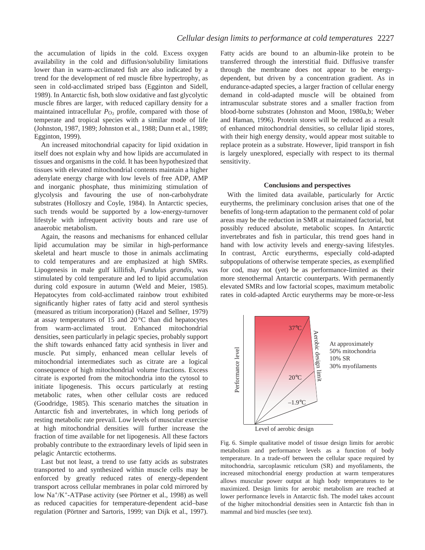the accumulation of lipids in the cold. Excess oxygen availability in the cold and diffusion/solubility limitations lower than in warm-acclimated fish are also indicated by a trend for the development of red muscle fibre hypertrophy, as seen in cold-acclimated striped bass (Egginton and Sidell, 1989). In Antarctic fish, both slow oxidative and fast glycolytic muscle fibres are larger, with reduced capillary density for a maintained intracellular  $P<sub>O</sub>$ , profile, compared with those of temperate and tropical species with a similar mode of life (Johnston, 1987, 1989; Johnston et al., 1988; Dunn et al., 1989; Egginton, 1999).

An increased mitochondrial capacity for lipid oxidation in itself does not explain why and how lipids are accumulated in tissues and organisms in the cold. It has been hypothesized that tissues with elevated mitochondrial contents maintain a higher adenylate energy charge with low levels of free ADP, AMP and inorganic phosphate, thus minimizing stimulation of glycolysis and favouring the use of non-carbohydrate substrates (Holloszy and Coyle, 1984). In Antarctic species, such trends would be supported by a low-energy-turnover lifestyle with infrequent activity bouts and rare use of anaerobic metabolism.

Again, the reasons and mechanisms for enhanced cellular lipid accumulation may be similar in high-performance skeletal and heart muscle to those in animals acclimating to cold temperatures and are emphasized at high SMRs. Lipogenesis in male gulf killifish, *Fundulus grandis*, was stimulated by cold temperature and led to lipid accumulation during cold exposure in autumn (Weld and Meier, 1985). Hepatocytes from cold-acclimated rainbow trout exhibited significantly higher rates of fatty acid and sterol synthesis (measured as tritium incorporation) (Hazel and Sellner, 1979) at assay temperatures of 15 and 20 °C than did hepatocytes from warm-acclimated trout. Enhanced mitochondrial densities, seen particularly in pelagic species, probably support the shift towards enhanced fatty acid synthesis in liver and muscle. Put simply, enhanced mean cellular levels of mitochondrial intermediates such as citrate are a logical consequence of high mitochondrial volume fractions. Excess citrate is exported from the mitochondria into the cytosol to initiate lipogenesis. This occurs particularly at resting metabolic rates, when other cellular costs are reduced (Goodridge, 1985). This scenario matches the situation in Antarctic fish and invertebrates, in which long periods of resting metabolic rate prevail. Low levels of muscular exercise at high mitochondrial densities will further increase the fraction of time available for net lipogenesis. All these factors probably contribute to the extraordinary levels of lipid seen in pelagic Antarctic ectotherms.

Last but not least, a trend to use fatty acids as substrates transported to and synthesized within muscle cells may be enforced by greatly reduced rates of energy-dependent transport across cellular membranes in polar cold mirrored by low Na+/K+-ATPase activity (see Pörtner et al., 1998) as well as reduced capacities for temperature-dependent acid–base regulation (Pörtner and Sartoris, 1999; van Dijk et al., 1997).

Fatty acids are bound to an albumin-like protein to be transferred through the interstitial fluid. Diffusive transfer through the membrane does not appear to be energydependent, but driven by a concentration gradient. As in endurance-adapted species, a larger fraction of cellular energy demand in cold-adapted muscle will be obtained from intramuscular substrate stores and a smaller fraction from blood-borne substrates (Johnston and Moon, 1980a,b; Weber and Haman, 1996). Protein stores will be reduced as a result of enhanced mitochondrial densities, so cellular lipid stores, with their high energy density, would appear most suitable to replace protein as a substrate. However, lipid transport in fish is largely unexplored, especially with respect to its thermal sensitivity.

#### **Conclusions and perspectives**

With the limited data available, particularly for Arctic eurytherms, the preliminary conclusion arises that one of the benefits of long-term adaptation to the permanent cold of polar areas may be the reduction in SMR at maintained factorial, but possibly reduced absolute, metabolic scopes. In Antarctic invertebrates and fish in particular, this trend goes hand in hand with low activity levels and energy-saving lifestyles. In contrast, Arctic eurytherms, especially cold-adapted subpopulations of otherwise temperate species, as exemplified for cod, may not (yet) be as performance-limited as their more stenothermal Antarctic counterparts. With permanently elevated SMRs and low factorial scopes, maximum metabolic rates in cold-adapted Arctic eurytherms may be more-or-less



Level of aerobic design

Fig. 6. Simple qualitative model of tissue design limits for aerobic metabolism and performance levels as a function of body temperature. In a trade-off between the cellular space required by mitochondria, sarcoplasmic reticulum (SR) and myofilaments, the increased mitochondrial energy production at warm temperatures allows muscular power output at high body temperatures to be maximized. Design limits for aerobic metabolism are reached at lower performance levels in Antarctic fish. The model takes account of the higher mitochondrial densities seen in Antarctic fish than in The anti-<br>
The anti-<br>
The anti-<br>
The and the product design<br>
Tig. 6. Simple qualitative model of<br>
metabolism and performance level<br>
temperature. In a trade-off between<br>
mitochondria, sarcoplasmic reticulu<br>
increased mitoc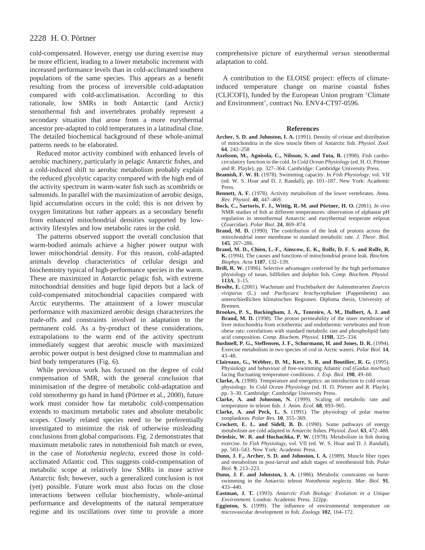cold-compensated. However, energy use during exercise may be more efficient, leading to a lower metabolic increment with increased performance levels than in cold-acclimated southern populations of the same species. This appears as a benefit resulting from the process of irreversible cold-adaptation compared with cold-acclimatisation. According to this rationale, low SMRs in both Antarctic (and Arctic) stenothermal fish and invertebrates probably represent a secondary situation that arose from a more eurythermal ancestor pre-adapted to cold temperatures in a latitudinal cline. The detailed biochemical background of these whole-animal patterns needs to be elaborated.

Reduced motor activity combined with enhanced levels of aerobic machinery, particularly in pelagic Antarctic fishes, and a cold-induced shift to aerobic metabolism probably explain the reduced glycolytic capacity compared with the high end of the activity spectrum in warm-water fish such as scombrids or salmonids. In parallel with the maximization of aerobic design, lipid accumulation occurs in the cold; this is not driven by oxygen limitations but rather appears as a secondary benefit from enhanced mitochondrial densities supported by lowactivity lifestyles and low metabolic rates in the cold.

The patterns observed support the overall conclusion that warm-bodied animals achieve a higher power output with lower mitochondrial density. For this reason, cold-adapted animals develop characteristics of cellular design and biochemistry typical of high-performance species in the warm. These are maximized in Antarctic pelagic fish, with extreme mitochondrial densities and huge lipid depots but a lack of cold-compensated mitochondrial capacities compared with Arctic eurytherms. The attainment of a lower muscular performance with maximized aerobic design characterizes the trade-offs and constraints involved in adaptation to the permanent cold. As a by-product of these considerations, extrapolations to the warm end of the activity spectrum immediately suggest that aerobic muscle with maximized aerobic power output is best designed close to mammalian and bird body temperatures (Fig. 6).

While previous work has focused on the degree of cold compensation of SMR, with the general conclusion that minimisation of the degree of metabolic cold-adaptation and cold stenothermy go hand in hand (Pörtner et al., 2000), future work must consider how far metabolic cold-compensation extends to maximum metabolic rates and absolute metabolic scopes. Closely related species need to be preferentially investigated to minimize the risk of otherwise misleading conclusions from global comparisons. Fig. 2 demonstrates that maximum metabolic rates in notothenioid fish match or even, in the case of *Notothenia neglecta*, exceed those in coldacclimated Atlantic cod. This suggests cold-compensation of metabolic scope at relatively low SMRs in more active Antarctic fish; however, such a generalized conclusion is not (yet) possible. Future work must also focus on the close interactions between cellular biochemistry, whole-animal performance and developments of the natural temperature regime and its oscillations over time to provide a more comprehensive picture of eurythermal *versus* stenothermal adaptation to cold.

A contribution to the ELOISE project: effects of climateinduced temperature change on marine coastal fishes (CLICOFI), funded by the European Union program 'Climate and Environment', contract No. ENV4-CT97-0596.

#### **References**

- **Archer, S. D. and Johnston, I. A.** (1991). Density of cristae and distribution of mitochondria in the slow muscle fibers of Antarctic fish. *Physiol. Zool.* **64**, 242–258
- **Axelsson, M., Agnisola, C., Nilsson, S. and Tota, B.** (1998). Fish cardiocirculatory function in the cold. In *Cold Ocean Physiology* (ed. H. O. Pörtner and R. Playle), pp. 327–364. Cambridge: Cambridge University Press.
- **Beamish, F. W. H.** (1978). Swimming capacity. In *Fish Physiology*, vol. VII (ed. W. S. Hoar and D. J. Randall), pp. 101–187. New York: Academic Press.
- **Bennett, A. F.** (1978). Activity metabolism of the lower vertebrates. *Annu. Rev. Physiol.* **40**, 447–469.
- **Bock, C., Sartoris, F. J., Wittig, R.-M. and Pörtner, H. O.** (2001). *In vivo* NMR studies of fish at different temperatures: observation of alphastat pH regulation in stenothermal Antarctic and eurythermal temperate eelpout (Zoarcidae). *Polar Biol.* **24**, 869–874.
- **Brand, M. D.** (1990). The contribution of the leak of protons across the mitochondrial inner membrane to standard metabolic rate. *J. Theor. Biol.* **145**, 267–286.
- **Brand, M. D., Chien, L.-F., Ainscow, E. K., Rolfe, D. F. S. and Rolfe, R. K.** (1994). The causes and functions of mitochondrial proton leak. *Biochim. Biophys. Acta* **1187**, 132–139.
- **Brill, R. W.** (1996). Selective advantages conferred by the high performance physiology of tunas, billfishes and dolphin fish. *Comp. Biochem. Physiol.* **113A**, 3–15.
- **Brodte, E.** (2001). Wachstum und Fruchtbarkeit der Aalmutterarten *Zoarces viviparus* (L.) und *Pachycara brachycephalum* (Pappenheim) aus unterschiedlichen klimatischen Regionen. Diploma thesis, University of Bremen.
- **Brookes, P. S., Buckingham, J. A., Tenreiro, A. M., Hulbert, A. J. and Brand, M. D.** (1998). The proton permeability of the inner membrane of liver mitochondria from ectothermic and endothermic vertebrates and from obese rats: correlations with standard metabolic rate and phospholipid fatty acid composition. *Comp. Biochem. Physiol.* **119B**, 325–334.
- **Bushnell, P. G., Steffensen, J. F., Schurmann, H. and Jones, D. R.** (1994). Exercise metabolism in two species of cod in Arctic waters. *Polar Biol.* **14**, 43–48.
- **Claireaux, G., Webber, D. M., Kerr, S. R. and Boutilier, R. G.** (1995). Physiology and behaviour of free-swimming Atlantic cod (*Gadus morhua*) facing fluctuating temperature conditions. *J. Exp. Biol.* **198**, 49–60.
- **Clarke, A.** (1998). Temperature and energetics: an introduction to cold ocean physiology. In *Cold Ocean Physiology* (ed. H. O. Pörtner and R. Playle), pp. 3–30. Cambridge: Cambridge University Press.
- **Clarke, A. and Johnston, N.** (1999). Scaling of metabolic rate and temperature in teleost fish. *J. Anim. Ecol.* **68**, 893–905.
- **Clarke, A. and Peck, L. S.** (1991). The physiology of polar marine zooplankton. *Polar Res.* **10**, 355–369.
- **Crockett, E. L. and Sidell, B. D.** (1990). Some pathways of energy metabolism are cold adapted in Antarctic fishes. *Physiol. Zool.* **63**, 472–488.
- **Driedzic, W. R. and Hochachka, P. W.** (1978). Metabolism in fish during exercise. In *Fish Physiology*, vol. VII (ed. W. S. Hoar and D. J. Randall), pp. 503–543. New York: Academic Press.
- **Dunn, J. F., Archer, S. D. and Johnston, I. A.** (1989). Muscle fiber types and metabolism in post-larval and adult stages of notothenioid fish. *Polar Biol.* **9**, 213–223.
- **Dunn, J. F. and Johnston, I. A.** (1986). Metabolic constraints on burstswimming in the Antarctic teleost *Notothenia neglecta*. *Mar. Biol.* **91**, 433–440.
- **Eastman, J. T.** (1993). *Antarctic Fish Biology: Evolution in a Unique Environment.* London: Academic Press. 322pp.
- **Egginton, S.** (1999). The influence of environmental temperature on microvascular development in fish. *Zoology* **102**, 164–172.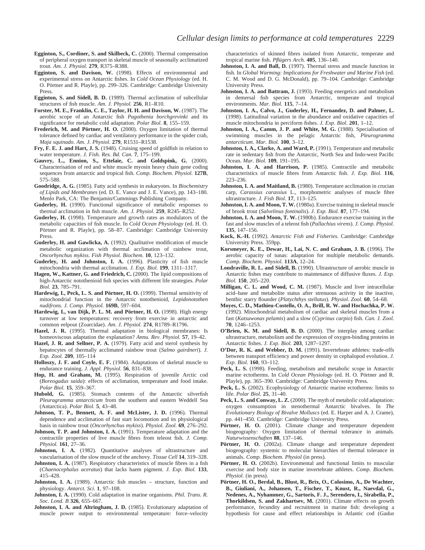- **Egginton, S., Cordiner, S. and Skilbeck, C.** (2000). Thermal compensation of peripheral oxygen transport in skeletal muscle of seasonally acclimatized trout. *Am. J. Physiol.* **279**, R375–R388.
- **Egginton, S. and Davison, W.** (1998). Effects of environmental and experimental stress on Antarctic fishes. In *Cold Ocean Physiology* (ed. H. O. Pörtner and R. Playle), pp. 299–326. Cambridge: Cambridge University Press.
- **Egginton, S. and Sidell, B. D.** (1989). Thermal acclimation of subcellular structures of fish muscle. *Am. J. Physiol.* **256**, R1–R10.
- **Forster, M. E., Franklin, C. E., Taylor, H. H. and Davison, W.** (1987). The aerobic scope of an Antarctic fish *Pagothenia borchgrevinki* and its significance for metabolic cold adaptation. *Polar Biol.* **8**, 155–159.
- **Frederich, M. and Pörtner, H. O.** (2000). Oxygen limitation of thermal tolerance defined by cardiac and ventilatory performance in the spider crab, *Maja squinado*. *Am. J. Physiol.* **279**, R1531–R1538.
- **Fry, F. E. J. and Hart, J. S.** (1948). Cruising speed of goldfish in relation to water temperature. *J. Fish. Res. Bd. Can.* **7**, 175–199.
- **Gauvry, L., Ennion, S., Ettelaie, C. and Goldspink, G.** (2000). Characterisation of red and white muscle myosin heavy chain gene coding sequences from antarctic and tropical fish. *Comp. Biochem. Physiol.* **127B**, 575–588.
- **Goodridge, A. G.** (1985). Fatty acid synthesis in eukaryotes. In *Biochemistry of Lipids and Membranes* (ed. D. E. Vance and J. E. Vance), pp. 143–180. Menlo Park, CA: The Benjamin/Cummings Publishing Company.
- **Guderley, H.** (1990). Functional significance of metabolic responses to thermal acclimation in fish muscle. *Am. J. Physiol.* **259**, R245–R252.
- **Guderley, H.** (1998). Temperature and growth rates as modulators of the metabolic capacities of fish muscle. In *Cold Ocean Physiology* (ed. H. O. Pörtner and R. Playle), pp. 58–87. Cambridge: Cambridge University Press.
- **Guderley, H. and Gawlicka, A.** (1992). Qualitative modification of muscle metabolic organization with thermal acclimation of rainbow trout, *Oncorhynchus mykiss*. *Fish Physiol. Biochem.* **10**, 123–132.
- **Guderley, H. and Johnston, I. A.** (1996). Plasticity of fish muscle mitochondria with thermal acclimation. *J. Exp. Biol.* **199**, 1311–1317.
- **Hagen, W., Kattner, G. and Friedrich, C.** (2000). The lipid compositions of high-Antarctic notothenioid fish species with different life strategies. *Polar Biol.* **23**, 785–791.
- **Hardewig, I., Peck, L. S. and Pörtner, H. O.** (1999). Thermal sensitivity of mitochondrial function in the Antarctic notothenioid, *Lepidonotothen nudifrons*. *J. Comp. Physiol.* **169B**, 597–604.
- **Hardewig, I., van Dijk, P. L. M. and Pörtner, H. O.** (1998). High energy turnover at low temperatures: recovery from exercise in antarctic and common eelpout (Zoarcidae). *Am. J. Physiol.* **274**, R1789–R1796.
- **Hazel, J. R.** (1995). Thermal adaptation in biological membranes: Is homeoviscous adaptation the explanation? *Annu. Rev. Physiol.* **57**, 19–42.
- **Hazel, J. R. and Sellner, P. A.** (1979). Fatty acid and sterol synthesis by hepatocytes of thermally acclimated rainbow trout (*Salmo gairdneri*). *J. Exp. Zool.* **209**, 105–114
- **Holloszy, J. F. and Coyle, E. F.** (1984). Adaptations of skeletal muscle to endurance training. *J. Appl. Physiol.* **56**, 831–838.
- **Hop, H. and Graham, M.** (1995). Respiration of juvenile Arctic cod (*Boreogadus saida*): effects of acclimation, temperature and food intake. *Polar Biol.* **15**, 359–367.
- **Hubold, G.** (1985). Stomach contents of the Antarctic silverfish *Pleuragramma antarcticum* from the southern and eastern Weddell Sea (Antarctica). *Polar Biol.* **5**, 43–48.
- **Johnson, T. P., Bennett, A. F. and McLister, J. D.** (1996). Thermal dependence and acclimation of fast start locomotion and its physiological basis in rainbow trout (*Oncorhynchus mykiss*). *Physiol. Zool.* **69**, 276–292.
- **Johnson, T. P. and Johnston, I. A.** (1991). Temperature adaptation and the contractile properties of live muscle fibres from teleost fish. *J. Comp. Physiol.* **161**, 27–36.
- Johnston, I. A. (1982). Quantitative analyses of ultrastructure and vascularisation of the slow muscle of the anchovy. *Tissue Cell* **14**, 319–328.
- **Johnston, I. A.** (1987). Respiratory characteristics of muscle fibres in a fish (*Chaenocephalus aceratus*) that lacks haem pigment. *J. Exp. Biol.* **133**, 415–428.
- Johnston, I. A. (1989). Antarctic fish muscles structure, function and physiology. *Antarct. Sci.* **1**, 97–108.
- **Johnston, I. A.** (1990). Cold adaptation in marine organisms. *Phil. Trans. R. Soc. Lond. B* **326**, 655–667.
- **Johnston, I. A. and Altringham, J. D.** (1985). Evolutionary adaptation of muscle power output to environmental temperature: force–velocity

characteristics of skinned fibres isolated from Antarctic, temperate and tropical marine fish. *Pflügers Arch.* **405**, 136–140.

- **Johnston, I. A. and Ball, D.** (1997). Thermal stress and muscle function in fish. In *Global Warming: Implications for Freshwater and Marine Fish* (ed. C. M. Wood and D. G. McDonald), pp. 79–104. Cambridge: Cambridge University Press.
- **Johnston, I. A. and Battram, J.** (1993). Feeding energetics and metabolism in demersal fish species from Antarctic, temperate and tropical environments. *Mar. Biol.* **115**, 7–14.
- **Johnston, I. A., Calvo, J., Guderley, H., Fernandez, D. and Palmer, L.** (1998). Latitudinal variation in the abundance and oxidative capacities of muscle mitochondria in perciform fishes. *J. Exp. Biol*. **201**, 1–12.
- **Johnston, I. A., Camm, J. P. and White, M. G.** (1988). Specialisation of swimming muscles in the pelagic Antarctic fish, *Pleurogramma antarcticum*. *Mar. Biol.* **100**, 3–12.
- **Johnston, I. A., Clarke, A. and Ward, P.** (1991). Temperature and metabolic rate in sedentary fish from the Antarctic, North Sea and Indo-west Pacific Ocean. *Mar. Biol.* **109**, 191–195.
- **Johnston, I. A. and Harrison, P.** (1985). Contractile and metabolic characteristics of muscle fibres from Antarctic fish. *J. Exp. Biol.* **116**, 223–236.
- **Johnston, I. A. and Maitland, B.** (1980). Temperature acclimation in crucian carp, *Carassius carassius* L., morphometric analyses of muscle fibre ultrastructure. *J. Fish Biol.* **17**, 113–125.
- **Johnston, I. A. and Moon, T. W.** (1980a). Exercise training in skeletal muscle of brook trout (*Salvelinus fontinalis*). *J. Exp. Biol.* **87**, 177–194.
- **Johnston, I. A. and Moon, T. W.** (1980b). Endurance exercise training in the fast and slow muscles of a teleost fish (*Pallachius virens*). *J. Comp. Physiol.* **135**, 147–156.
- **Kock, K.-H.** (1992). *Antarctic Fish and Fisheries*. Cambridge: Cambridge University Press. 359pp.
- **Korsmeyer, K. E., Dewar, H., Lai, N. C. and Graham, J. B.** (1996). The aerobic capacity of tunas: adaptation for multiple metabolic demands. *Comp. Biochem. Physiol.* **113A**, 12–24.
- **Londraville, R. L. and Sidell, B.** (1990). Ultrastructure of aerobic muscle in Antarctic fishes may contribute to maintenance of diffusive fluxes. *J. Exp. Biol.* **150**, 205–220.
- **Milligan, C. L. and Wood, C. M.** (1987). Muscle and liver intracellular acid–base and metabolite status after strenuous activity in the inactive, benthic starry flounder (*Platychthys stellatus*). *Physiol. Zool.* **60**, 54–68.
- **Moyes, C. D., Mathieu-Costello, O. A., Brill, R. W. and Hochachka, P. W.** (1992). Mitochondrial metabolism of cardiac and skeletal muscles from a fast (*Katsuwonas pelamis*) and a slow (*Cyprinus carpio*) fish. *Can. J. Zool.* **70**, 1246–1253.
- **O'Brien, K. M. and Sidell, B. D.** (2000). The interplay among cardiac ultrastructure, metabolism and the expression of oxygen-binding proteins in Antarctic fishes. *J. Exp. Biol.* **203**, 1287–1297.
- **O'Dor, R. K. and Webber, D. M.** (1991). Invertebrate athletes: trade-offs between transport efficiency and power density in cephalopod evolution. *J. Exp. Biol.* **160**, 93–112.
- Peck, L. S. (1998). Feeding, metabolism and metabolic scope in Antarctic marine ectotherms. In *Cold Ocean Physiology* (ed. H. O. Pörtner and R. Playle), pp. 365–390. Cambridge: Cambridge University Press.
- Peck, L. S. (2002). Ecophysiology of Antarctic marine ectotherms: limits to life. *Polar Biol*. **25**, 31–40.
- **Peck, L. S. and Conway, L. Z.** (2000). The myth of metabolic cold adaptation: oxygen consumption in stenothermal Antarctic bivalves. In *The Evolutionary Biology of Bivalve Molluscs* (ed. E. Harper and A. J. Crame), pp. 441–450. Cambridge: Cambridge University Press.
- **Pörtner, H. O.** (2001). Climate change and temperature dependent biogeography: Oxygen limitation of thermal tolerance in animals. *Naturwissenschaften* **88**, 137–146.
- Pörtner, H. O. (2002a). Climate change and temperature dependent biogeography: systemic to molecular hierarchies of thermal tolerance in animals. *Comp. Biochem. Physiol* (in press).
- **Pörtner, H. O.** (2002b). Environmental and functional limits to muscular exercise and body size in marine invertebrate athletes. *Comp. Biochem. Physiol.* (in press).
- **Pörtner, H. O., Berdal, B., Blust, R., Brix, O., Colosimo, A., De Wachter, B., Giuliani, A., Johansen, T., Fischer, T., Knust, R., Naevdal, G., Nedenes, A., Nyhammer, G., Sartoris, F. J., Serendero, I., Sirabella, P., Thorkildsen, S. and Zakhartsev, M.** (2001). Climate effects on growth performance, fecundity and recruitment in marine fish: developing a hypothesis for cause and effect relationships in Atlantic cod (*Gadus*